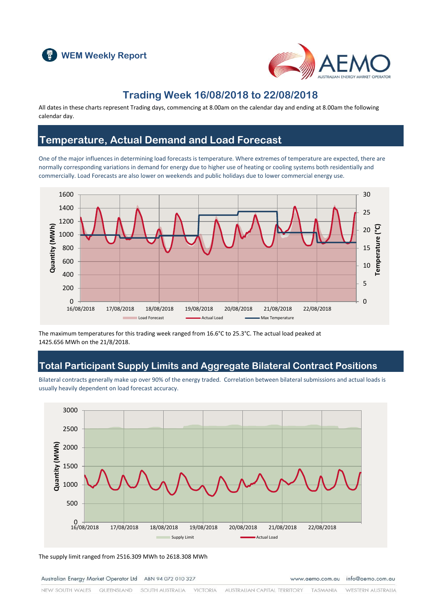



### **Trading Week 16/08/2018 to 22/08/2018**

All dates in these charts represent Trading days, commencing at 8.00am on the calendar day and ending at 8.00am the following calendar day.

#### **Temperature, Actual Demand and Load Forecast**

One of the major influences in determining load forecasts is temperature. Where extremes of temperature are expected, there are normally corresponding variations in demand for energy due to higher use of heating or cooling systems both residentially and commercially. Load Forecasts are also lower on weekends and public holidays due to lower commercial energy use.



The maximum temperatures for this trading week ranged from 16.6°C to 25.3°C. The actual load peaked at 1425.656 MWh on the 21/8/2018.

### **Total Participant Supply Limits and Aggregate Bilateral Contract Positions**

Bilateral contracts generally make up over 90% of the energy traded. Correlation between bilateral submissions and actual loads is usually heavily dependent on load forecast accuracy.



The supply limit ranged from 2516.309 MWh to 2618.308 MWh

Australian Energy Market Operator Ltd ABN 94 072 010 327

www.aemo.com.au info@aemo.com.au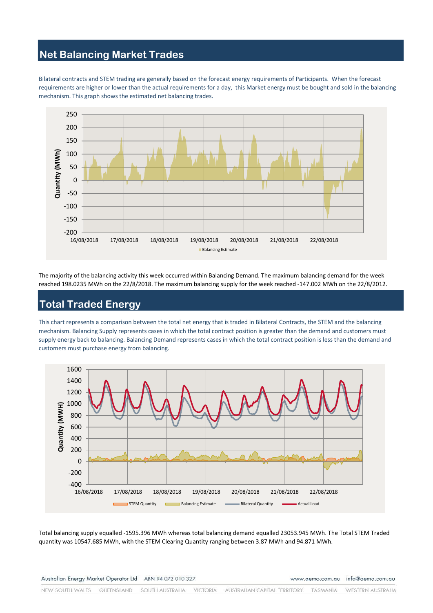# **Net Balancing Market Trades**

Bilateral contracts and STEM trading are generally based on the forecast energy requirements of Participants. When the forecast requirements are higher or lower than the actual requirements for a day, this Market energy must be bought and sold in the balancing mechanism. This graph shows the estimated net balancing trades.



The majority of the balancing activity this week occurred within Balancing Demand. The maximum balancing demand for the week reached 198.0235 MWh on the 22/8/2018. The maximum balancing supply for the week reached -147.002 MWh on the 22/8/2012.

# **Total Traded Energy**

This chart represents a comparison between the total net energy that is traded in Bilateral Contracts, the STEM and the balancing mechanism. Balancing Supply represents cases in which the total contract position is greater than the demand and customers must supply energy back to balancing. Balancing Demand represents cases in which the total contract position is less than the demand and customers must purchase energy from balancing.



Total balancing supply equalled -1595.396 MWh whereas total balancing demand equalled 23053.945 MWh. The Total STEM Traded quantity was 10547.685 MWh, with the STEM Clearing Quantity ranging between 3.87 MWh and 94.871 MWh.

Australian Energy Market Operator Ltd ABN 94 072 010 327

www.aemo.com.au info@aemo.com.au